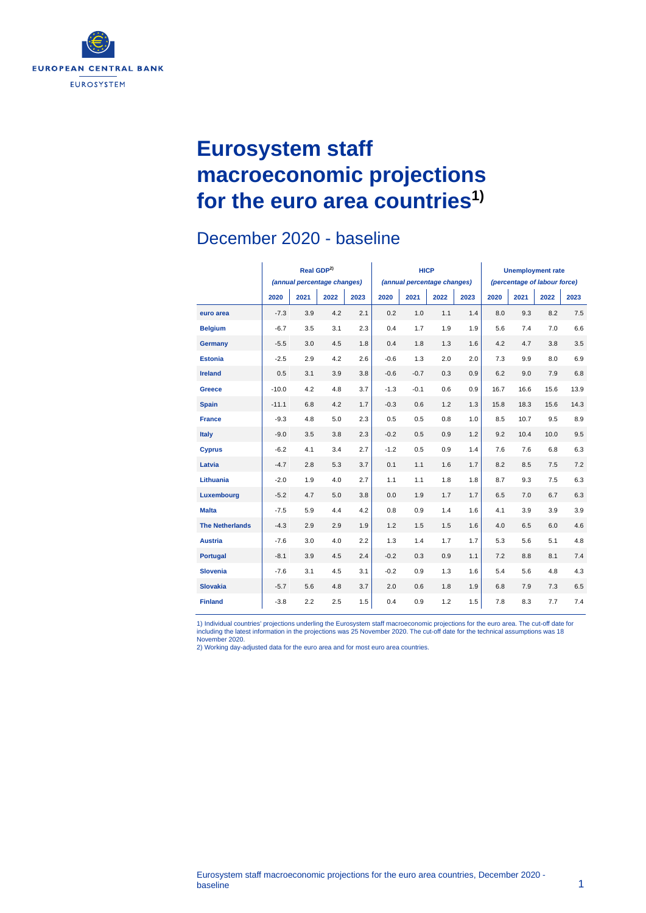

# **Eurosystem staff macroeconomic projections for the euro area countries1)**

### December 2020 - baseline

|                        | Real GDP <sup>2)</sup><br>(annual percentage changes) |      |      |      |        | <b>HICP</b><br>(annual percentage changes) |      |      | <b>Unemployment rate</b><br>(percentage of labour force) |      |      |      |
|------------------------|-------------------------------------------------------|------|------|------|--------|--------------------------------------------|------|------|----------------------------------------------------------|------|------|------|
|                        | 2020                                                  | 2021 | 2022 | 2023 | 2020   | 2021                                       | 2022 | 2023 | 2020                                                     | 2021 | 2022 | 2023 |
| euro area              | $-7.3$                                                | 3.9  | 4.2  | 2.1  | 0.2    | 1.0                                        | 1.1  | 1.4  | 8.0                                                      | 9.3  | 8.2  | 7.5  |
| <b>Belgium</b>         | $-6.7$                                                | 3.5  | 3.1  | 2.3  | 0.4    | 1.7                                        | 1.9  | 1.9  | 5.6                                                      | 7.4  | 7.0  | 6.6  |
| Germany                | $-5.5$                                                | 3.0  | 4.5  | 1.8  | 0.4    | 1.8                                        | 1.3  | 1.6  | 4.2                                                      | 4.7  | 3.8  | 3.5  |
| <b>Estonia</b>         | $-2.5$                                                | 2.9  | 4.2  | 2.6  | $-0.6$ | 1.3                                        | 2.0  | 2.0  | 7.3                                                      | 9.9  | 8.0  | 6.9  |
| <b>Ireland</b>         | 0.5                                                   | 3.1  | 3.9  | 3.8  | $-0.6$ | $-0.7$                                     | 0.3  | 0.9  | 6.2                                                      | 9.0  | 7.9  | 6.8  |
| Greece                 | $-10.0$                                               | 4.2  | 4.8  | 3.7  | $-1.3$ | $-0.1$                                     | 0.6  | 0.9  | 16.7                                                     | 16.6 | 15.6 | 13.9 |
| <b>Spain</b>           | $-11.1$                                               | 6.8  | 4.2  | 1.7  | $-0.3$ | 0.6                                        | 1.2  | 1.3  | 15.8                                                     | 18.3 | 15.6 | 14.3 |
| <b>France</b>          | $-9.3$                                                | 4.8  | 5.0  | 2.3  | 0.5    | 0.5                                        | 0.8  | 1.0  | 8.5                                                      | 10.7 | 9.5  | 8.9  |
| <b>Italy</b>           | $-9.0$                                                | 3.5  | 3.8  | 2.3  | $-0.2$ | 0.5                                        | 0.9  | 1.2  | 9.2                                                      | 10.4 | 10.0 | 9.5  |
| <b>Cyprus</b>          | $-6.2$                                                | 4.1  | 3.4  | 2.7  | $-1.2$ | 0.5                                        | 0.9  | 1.4  | 7.6                                                      | 7.6  | 6.8  | 6.3  |
| Latvia                 | $-4.7$                                                | 2.8  | 5.3  | 3.7  | 0.1    | 1.1                                        | 1.6  | 1.7  | 8.2                                                      | 8.5  | 7.5  | 7.2  |
| Lithuania              | $-2.0$                                                | 1.9  | 4.0  | 2.7  | 1.1    | 1.1                                        | 1.8  | 1.8  | 8.7                                                      | 9.3  | 7.5  | 6.3  |
| Luxembourg             | $-5.2$                                                | 4.7  | 5.0  | 3.8  | 0.0    | 1.9                                        | 1.7  | 1.7  | 6.5                                                      | 7.0  | 6.7  | 6.3  |
| <b>Malta</b>           | $-7.5$                                                | 5.9  | 4.4  | 4.2  | 0.8    | 0.9                                        | 1.4  | 1.6  | 4.1                                                      | 3.9  | 3.9  | 3.9  |
| <b>The Netherlands</b> | $-4.3$                                                | 2.9  | 2.9  | 1.9  | 1.2    | 1.5                                        | 1.5  | 1.6  | 4.0                                                      | 6.5  | 6.0  | 4.6  |
| <b>Austria</b>         | $-7.6$                                                | 3.0  | 4.0  | 2.2  | 1.3    | 1.4                                        | 1.7  | 1.7  | 5.3                                                      | 5.6  | 5.1  | 4.8  |
| <b>Portugal</b>        | $-8.1$                                                | 3.9  | 4.5  | 2.4  | $-0.2$ | 0.3                                        | 0.9  | 1.1  | 7.2                                                      | 8.8  | 8.1  | 7.4  |
| <b>Slovenia</b>        | $-7.6$                                                | 3.1  | 4.5  | 3.1  | $-0.2$ | 0.9                                        | 1.3  | 1.6  | 5.4                                                      | 5.6  | 4.8  | 4.3  |
| <b>Slovakia</b>        | $-5.7$                                                | 5.6  | 4.8  | 3.7  | 2.0    | 0.6                                        | 1.8  | 1.9  | 6.8                                                      | 7.9  | 7.3  | 6.5  |
| <b>Finland</b>         | $-3.8$                                                | 2.2  | 2.5  | 1.5  | 0.4    | 0.9                                        | 1.2  | 1.5  | 7.8                                                      | 8.3  | 7.7  | 7.4  |

1) Individual countries' projections underling the Eurosystem staff macroeconomic projections for the euro area. The cut-off date for<br>including the latest information in the projections was 25 November 2020. The cut-off da

2) Working day-adjusted data for the euro area and for most euro area countries.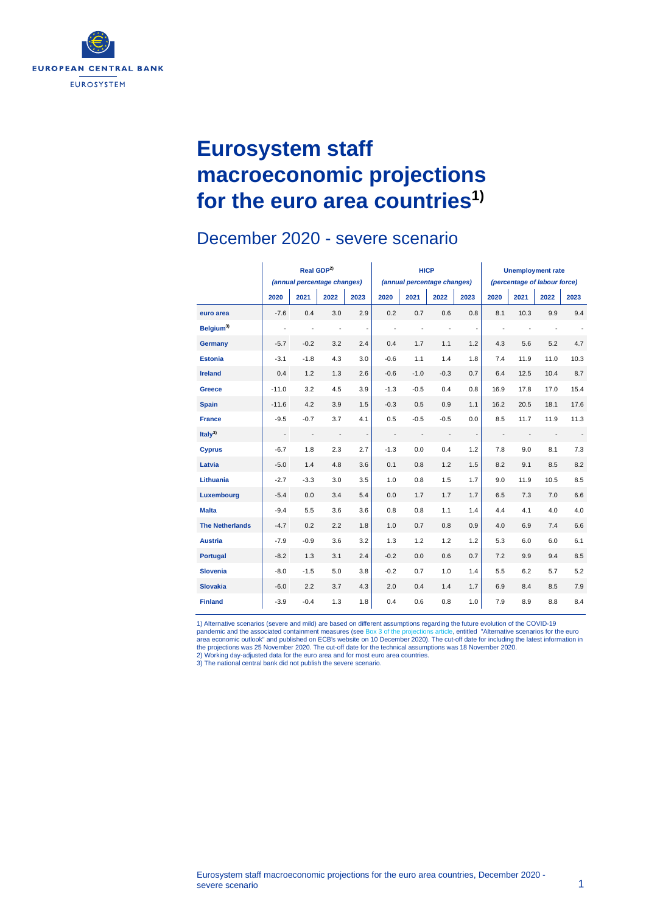

# **Eurosystem staff macroeconomic projections for the euro area countries1)**

#### December 2020 - severe scenario

|                        | Real GDP <sup>2)</sup><br>(annual percentage changes) |                          |                          |                          |                             | <b>HICP</b>              |                          |                          | <b>Unemployment rate</b>     |      |      |      |
|------------------------|-------------------------------------------------------|--------------------------|--------------------------|--------------------------|-----------------------------|--------------------------|--------------------------|--------------------------|------------------------------|------|------|------|
|                        |                                                       |                          |                          |                          | (annual percentage changes) |                          |                          |                          | (percentage of labour force) |      |      |      |
|                        | 2020                                                  | 2021                     | 2022                     | 2023                     | 2020                        | 2021                     | 2022                     | 2023                     | 2020                         | 2021 | 2022 | 2023 |
| euro area              | $-7.6$                                                | 0.4                      | 3.0                      | 2.9                      | 0.2                         | 0.7                      | 0.6                      | 0.8                      | 8.1                          | 10.3 | 9.9  | 9.4  |
| Belaium <sup>3)</sup>  | $\blacksquare$                                        | $\blacksquare$           | $\centerdot$             | $\overline{\phantom{a}}$ | ÷,                          | $\blacksquare$           | $\frac{1}{2}$            | $\overline{\phantom{a}}$ |                              | ÷,   |      |      |
| <b>Germany</b>         | $-5.7$                                                | $-0.2$                   | 3.2                      | 2.4                      | 0.4                         | 1.7                      | 1.1                      | 1.2                      | 4.3                          | 5.6  | 5.2  | 4.7  |
| <b>Estonia</b>         | $-3.1$                                                | $-1.8$                   | 4.3                      | 3.0                      | $-0.6$                      | 1.1                      | 1.4                      | 1.8                      | 7.4                          | 11.9 | 11.0 | 10.3 |
| <b>Ireland</b>         | 0.4                                                   | 1.2                      | 1.3                      | 2.6                      | $-0.6$                      | $-1.0$                   | $-0.3$                   | 0.7                      | 6.4                          | 12.5 | 10.4 | 8.7  |
| <b>Greece</b>          | $-11.0$                                               | 3.2                      | 4.5                      | 3.9                      | $-1.3$                      | $-0.5$                   | 0.4                      | 0.8                      | 16.9                         | 17.8 | 17.0 | 15.4 |
| <b>Spain</b>           | $-11.6$                                               | 4.2                      | 3.9                      | 1.5                      | $-0.3$                      | 0.5                      | 0.9                      | 1.1                      | 16.2                         | 20.5 | 18.1 | 17.6 |
| <b>France</b>          | $-9.5$                                                | $-0.7$                   | 3.7                      | 4.1                      | 0.5                         | $-0.5$                   | $-0.5$                   | 0.0                      | 8.5                          | 11.7 | 11.9 | 11.3 |
| Italy <sup>3)</sup>    | $\overline{\phantom{a}}$                              | $\overline{\phantom{a}}$ | $\overline{\phantom{a}}$ | $\overline{\phantom{0}}$ | $\overline{\phantom{a}}$    | $\overline{\phantom{a}}$ | $\overline{\phantom{a}}$ | $\overline{\phantom{a}}$ | $\overline{\phantom{a}}$     |      |      |      |
| <b>Cyprus</b>          | $-6.7$                                                | 1.8                      | 2.3                      | 2.7                      | $-1.3$                      | 0.0                      | 0.4                      | 1.2                      | 7.8                          | 9.0  | 8.1  | 7.3  |
| Latvia                 | $-5.0$                                                | 1.4                      | 4.8                      | 3.6                      | 0.1                         | 0.8                      | 1.2                      | 1.5                      | 8.2                          | 9.1  | 8.5  | 8.2  |
| Lithuania              | $-2.7$                                                | $-3.3$                   | 3.0                      | 3.5                      | 1.0                         | 0.8                      | 1.5                      | 1.7                      | 9.0                          | 11.9 | 10.5 | 8.5  |
| Luxembourg             | $-5.4$                                                | 0.0                      | 3.4                      | 5.4                      | 0.0                         | 1.7                      | 1.7                      | 1.7                      | 6.5                          | 7.3  | 7.0  | 6.6  |
| <b>Malta</b>           | $-9.4$                                                | 5.5                      | 3.6                      | 3.6                      | 0.8                         | 0.8                      | 1.1                      | 1.4                      | 4.4                          | 4.1  | 4.0  | 4.0  |
| <b>The Netherlands</b> | $-4.7$                                                | 0.2                      | 2.2                      | 1.8                      | 1.0                         | 0.7                      | 0.8                      | 0.9                      | 4.0                          | 6.9  | 7.4  | 6.6  |
| <b>Austria</b>         | $-7.9$                                                | $-0.9$                   | 3.6                      | 3.2                      | 1.3                         | 1.2                      | 1.2                      | 1.2                      | 5.3                          | 6.0  | 6.0  | 6.1  |
| <b>Portugal</b>        | $-8.2$                                                | 1.3                      | 3.1                      | 2.4                      | $-0.2$                      | 0.0                      | 0.6                      | 0.7                      | 7.2                          | 9.9  | 9.4  | 8.5  |
| <b>Slovenia</b>        | $-8.0$                                                | $-1.5$                   | 5.0                      | 3.8                      | $-0.2$                      | 0.7                      | 1.0                      | 1.4                      | 5.5                          | 6.2  | 5.7  | 5.2  |
| <b>Slovakia</b>        | $-6.0$                                                | 2.2                      | 3.7                      | 4.3                      | 2.0                         | 0.4                      | 1.4                      | 1.7                      | 6.9                          | 8.4  | 8.5  | 7.9  |
| <b>Finland</b>         | $-3.9$                                                | $-0.4$                   | 1.3                      | 1.8                      | 0.4                         | 0.6                      | 0.8                      | 1.0                      | 7.9                          | 8.9  | 8.8  | 8.4  |

1) Alternative scenarios (severe and mild) are based on different assumptions regarding the future evolution of the COVID-19 pandemic and the associated containment measures (se[e Box 3 of the projections article,](https://www.ecb.europa.eu/pub/projections/html/ecb.projections202012_eurosystemstaff%7Ebf8254a10a.en.html#toc7) entitled "Alternative scenarios for the euro<br>area economic outlook" and published on ECB's website on 10 December 2020). The cut-off d the projections was 25 November 2020. The cut-off date for the technical assumptions was 18 November 2020.<br>2) Working day-adjusted data for the euro area and for most euro area countries.<br>3) The national central bank did n